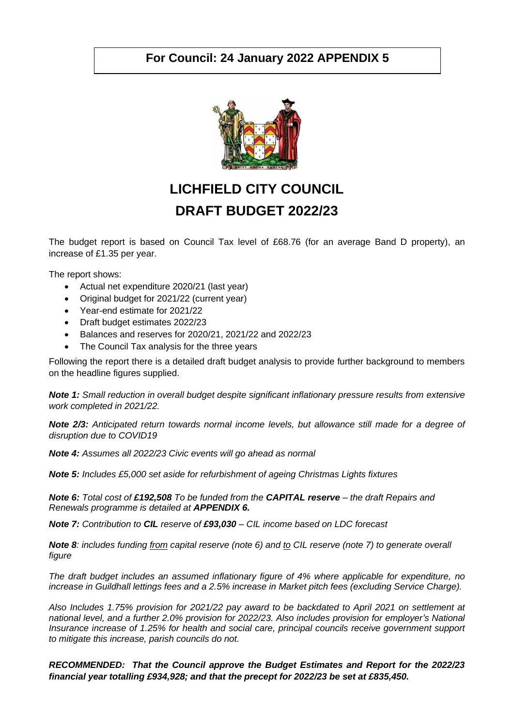## **For Council: 24 January 2022 APPENDIX 5**



## **LICHFIELD CITY COUNCIL DRAFT BUDGET 2022/23**

The budget report is based on Council Tax level of £68.76 (for an average Band D property), an increase of £1.35 per year.

The report shows:

- Actual net expenditure 2020/21 (last year)
- Original budget for 2021/22 (current year)
- Year-end estimate for 2021/22
- Draft budget estimates 2022/23
- Balances and reserves for 2020/21, 2021/22 and 2022/23
- The Council Tax analysis for the three years

Following the report there is a detailed draft budget analysis to provide further background to members on the headline figures supplied.

*Note 1: Small reduction in overall budget despite significant inflationary pressure results from extensive work completed in 2021/22.*

*Note 2/3: Anticipated return towards normal income levels, but allowance still made for a degree of disruption due to COVID19*

*Note 4: Assumes all 2022/23 Civic events will go ahead as normal*

*Note 5: Includes £5,000 set aside for refurbishment of ageing Christmas Lights fixtures*

*Note 6: Total cost of £192,508 To be funded from the CAPITAL reserve – the draft Repairs and Renewals programme is detailed at APPENDIX 6.*

*Note 7: Contribution to CIL reserve of £93,030 – CIL income based on LDC forecast*

*Note 8: includes funding from capital reserve (note 6) and to CIL reserve (note 7) to generate overall figure*

*The draft budget includes an assumed inflationary figure of 4% where applicable for expenditure, no increase in Guildhall lettings fees and a 2.5% increase in Market pitch fees (excluding Service Charge).*

*Also Includes 1.75% provision for 2021/22 pay award to be backdated to April 2021 on settlement at national level, and a further 2.0% provision for 2022/23. Also includes provision for employer's National Insurance increase of 1.25% for health and social care, principal councils receive government support to mitigate this increase, parish councils do not.*

*RECOMMENDED: That the Council approve the Budget Estimates and Report for the 2022/23 financial year totalling £934,928; and that the precept for 2022/23 be set at £835,450.*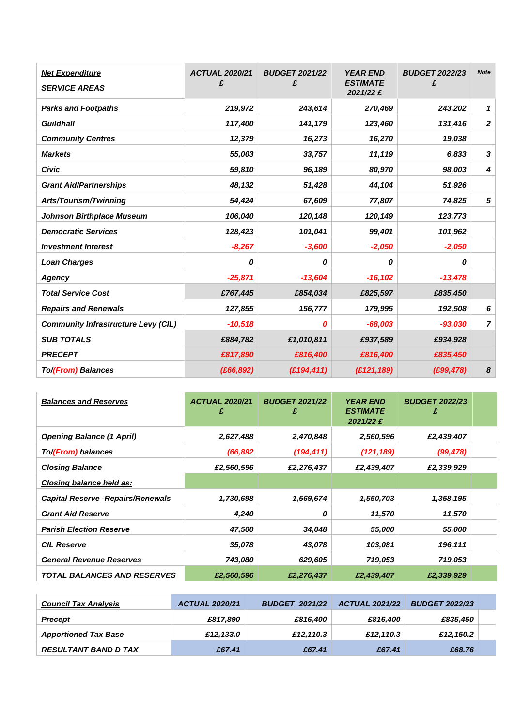| <b>Net Expenditure</b><br><b>SERVICE AREAS</b> | <b>ACTUAL 2020/21</b><br>£ | <b>BUDGET 2021/22</b><br>£ | <b>YEAR END</b><br><b>ESTIMATE</b><br>2021/22 £ | <b>BUDGET 2022/23</b><br>£ | <b>Note</b>      |
|------------------------------------------------|----------------------------|----------------------------|-------------------------------------------------|----------------------------|------------------|
| <b>Parks and Footpaths</b>                     | 219,972                    | 243,614                    | 270,469                                         | 243,202                    | 1                |
| <b>Guildhall</b>                               | 117,400                    | 141,179                    | 123,460                                         | 131,416                    | $\boldsymbol{2}$ |
| <b>Community Centres</b>                       | 12,379                     | 16,273                     | 16,270                                          | 19,038                     |                  |
| <b>Markets</b>                                 | 55,003                     | 33,757                     | 11,119                                          | 6,833                      | 3                |
| <b>Civic</b>                                   | 59,810                     | 96,189                     | 80,970                                          | 98,003                     | 4                |
| <b>Grant Aid/Partnerships</b>                  | 48,132                     | 51,428                     | 44,104                                          | 51,926                     |                  |
| Arts/Tourism/Twinning                          | 54,424                     | 67,609                     | 77,807                                          | 74,825                     | 5                |
| <b>Johnson Birthplace Museum</b>               | 106,040                    | 120,148                    | 120,149                                         | 123,773                    |                  |
| <b>Democratic Services</b>                     | 128,423                    | 101,041                    | 99,401                                          | 101,962                    |                  |
| <b>Investment Interest</b>                     | $-8,267$                   | $-3,600$                   | $-2,050$                                        | $-2,050$                   |                  |
| <b>Loan Charges</b>                            | 0                          | 0                          | 0                                               | 0                          |                  |
| Agency                                         | $-25,871$                  | $-13,604$                  | $-16,102$                                       | $-13,478$                  |                  |
| <b>Total Service Cost</b>                      | £767,445                   | £854,034                   | £825,597                                        | £835,450                   |                  |
| <b>Repairs and Renewals</b>                    | 127,855                    | 156,777                    | 179,995                                         | 192,508                    | 6                |
| <b>Community Infrastructure Levy (CIL)</b>     | $-10,518$                  | 0                          | $-68,003$                                       | $-93,030$                  | $\overline{7}$   |
| <b>SUB TOTALS</b>                              | £884,782                   | £1,010,811                 | £937,589                                        | £934,928                   |                  |
| <b>PRECEPT</b>                                 | £817,890                   | £816,400                   | £816,400                                        | £835,450                   |                  |
| To/(From) Balances                             | (E66, 892)                 | (E194, 411)                | (E121, 189)                                     | (E99, 478)                 | 8                |

| <b>Balances and Reserves</b>              | <b>ACTUAL 2020/21</b><br>£ | <b>BUDGET 2021/22</b><br>£ | <b>YEAR END</b><br><b>ESTIMATE</b><br>2021/22 £ | <b>BUDGET 2022/23</b><br>£ |  |
|-------------------------------------------|----------------------------|----------------------------|-------------------------------------------------|----------------------------|--|
| <b>Opening Balance (1 April)</b>          | 2,627,488                  | 2,470,848                  | 2,560,596                                       | £2,439,407                 |  |
| To/(From) balances                        | (66, 892)                  | (194, 411)                 | (121, 189)                                      | (99, 478)                  |  |
| <b>Closing Balance</b>                    | £2,560,596                 | £2,276,437                 | £2,439,407                                      | £2,339,929                 |  |
| Closing balance held as:                  |                            |                            |                                                 |                            |  |
| <b>Capital Reserve - Repairs/Renewals</b> | 1,730,698                  | 1,569,674                  | 1,550,703                                       | 1,358,195                  |  |
| <b>Grant Aid Reserve</b>                  | 4,240                      | 0                          | 11,570                                          | 11,570                     |  |
| <b>Parish Election Reserve</b>            | 47,500                     | 34,048                     | 55,000                                          | 55,000                     |  |
| <b>CIL Reserve</b>                        | 35,078                     | 43,078                     | 103,081                                         | 196,111                    |  |
| <b>General Revenue Reserves</b>           | 743,080                    | 629,605                    | 719,053                                         | 719,053                    |  |
| <b>TOTAL BALANCES AND RESERVES</b>        | £2,560,596                 | £2,276,437                 | £2,439,407                                      | £2,339,929                 |  |

| <b>Council Tax Analysis</b> | <b>ACTUAL 2020/21</b> | <b>BUDGET 2021/22</b> | <b>ACTUAL 2021/22</b> | <b>BUDGET 2022/23</b> |  |
|-----------------------------|-----------------------|-----------------------|-----------------------|-----------------------|--|
| <b>Precept</b>              | £817.890              | £816.400              | £816.400              | £835,450              |  |
| <b>Apportioned Tax Base</b> | £12,133.0             | £12.110.3             | £12.110.3             | £12.150.2             |  |
| <b>RESULTANT BAND D TAX</b> | £67.41                | £67.41                | £67.41                | £68.76                |  |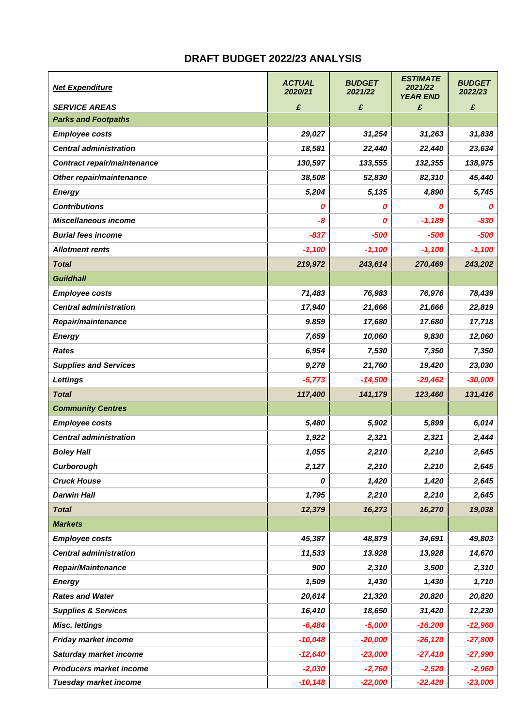## **DRAFT BUDGET 2022/23 ANALYSIS**

| <b>Net Expenditure</b>         | <b>ACTUAL</b><br>2020/21 | <b>BUDGET</b><br>2021/22 | <b>ESTIMATE</b><br>2021/22<br><b>YEAR END</b> | <b>BUDGET</b><br>2022/23 |
|--------------------------------|--------------------------|--------------------------|-----------------------------------------------|--------------------------|
| <b>SERVICE AREAS</b>           | £                        | £                        | £                                             | £                        |
| <b>Parks and Footpaths</b>     |                          |                          |                                               |                          |
| <b>Employee costs</b>          | 29,027                   | 31,254                   | 31,263                                        | 31,838                   |
| <b>Central administration</b>  | 18,581                   | 22,440                   | 22,440                                        | 23,634                   |
| Contract repair/maintenance    | 130,597                  | 133,555                  | 132,355                                       | 138,975                  |
| Other repair/maintenance       | 38,508                   | 52,830                   | 82,310                                        | 45,440                   |
| <b>Energy</b>                  | 5,204                    | 5,135                    | 4,890                                         | 5,745                    |
| <b>Contributions</b>           | 0                        | 0                        | 0                                             | 0                        |
| <b>Miscellaneous income</b>    | -8                       | 0                        | $-1,189$                                      | $-830$                   |
| <b>Burial fees income</b>      | $-837$                   | $-500$                   | -500                                          | $-500$                   |
| <b>Allotment rents</b>         | $-1,100$                 | $-1,100$                 | $-1,100$                                      | $-1,100$                 |
| <b>Total</b>                   | 219,972                  | 243,614                  | 270,469                                       | 243,202                  |
| <b>Guildhall</b>               |                          |                          |                                               |                          |
| <b>Employee costs</b>          | 71,483                   | 76,983                   | 76,976                                        | 78,439                   |
| <b>Central administration</b>  | 17,940                   | 21,666                   | 21,666                                        | 22,819                   |
| Repair/maintenance             | 9.859                    | 17,680                   | 17.680                                        | 17,718                   |
| <b>Energy</b>                  | 7,659                    | 10,060                   | 9,830                                         | 12,060                   |
| <b>Rates</b>                   | 6,954                    | 7,530                    | 7,350                                         | 7,350                    |
| <b>Supplies and Services</b>   | 9,278                    | 21,760                   | 19,420                                        | 23,030                   |
| <b>Lettings</b>                | $-5,773$                 | $-14,500$                | $-29,462$                                     | $-30,000$                |
| <b>Total</b>                   | 117,400                  | 141,179                  | 123,460                                       | 131,416                  |
| <b>Community Centres</b>       |                          |                          |                                               |                          |
| <b>Employee costs</b>          | 5,480                    | 5,902                    | 5,899                                         | 6,014                    |
| <b>Central administration</b>  | 1,922                    | 2,321                    | 2,321                                         | 2,444                    |
| <b>Boley Hall</b>              | 1,055                    | 2,210                    | 2,210                                         | 2,645                    |
| Curborough                     | 2,127                    | 2,210                    | 2,210                                         | 2,645                    |
| <b>Cruck House</b>             | 0                        | 1,420                    | 1,420                                         | 2,645                    |
| <b>Darwin Hall</b>             | 1,795                    | 2,210                    | 2,210                                         | 2,645                    |
| <b>Total</b>                   | 12,379                   | 16,273                   | 16,270                                        | 19,038                   |
| <b>Markets</b>                 |                          |                          |                                               |                          |
| <b>Employee costs</b>          | 45,387                   | 48,879                   | 34,691                                        | 49,803                   |
| <b>Central administration</b>  | 11,533                   | 13.928                   | 13,928                                        | 14,670                   |
| <b>Repair/Maintenance</b>      | 900                      | 2,310                    | 3,500                                         | 2,310                    |
| <b>Energy</b>                  | 1,509                    | 1,430                    | 1,430                                         | 1,710                    |
| <b>Rates and Water</b>         | 20,614                   | 21,320                   | 20,820                                        | 20,820                   |
| <b>Supplies &amp; Services</b> | 16,410                   | 18,650                   | 31,420                                        | 12,230                   |
| <b>Misc. lettings</b>          | $-6,484$                 | $-5,000$                 | $-16,200$                                     | $-12,960$                |
| Friday market income           | $-10,048$                | $-20,000$                | $-26,120$                                     | $-27,800$                |
| Saturday market income         | $-12,640$                | $-23,000$                | $-27,410$                                     | $-27,990$                |
| <b>Producers market income</b> | $-2,030$                 | $-2,760$                 | $-2,520$                                      | $-2,960$                 |
| Tuesday market income          | $-10,148$                | $-22,000$                | $-22,420$                                     | $-23,000$                |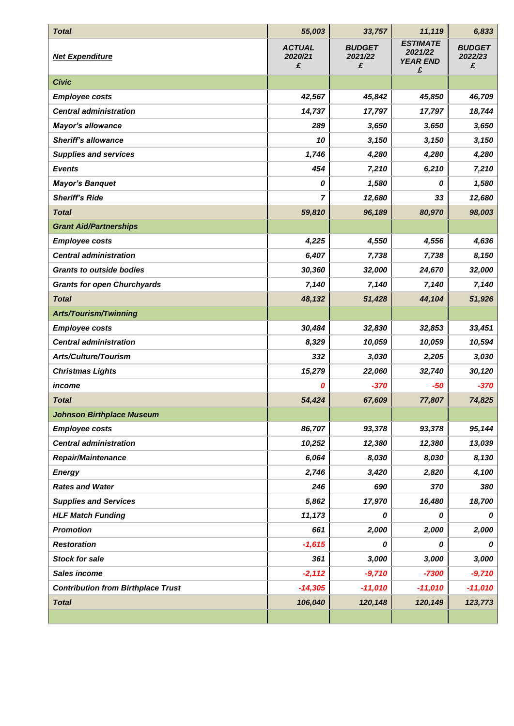| <b>Total</b>                              | 55,003                        | 33,757                        | 11,119                                             | 6,833                         |
|-------------------------------------------|-------------------------------|-------------------------------|----------------------------------------------------|-------------------------------|
| <b>Net Expenditure</b>                    | <b>ACTUAL</b><br>2020/21<br>£ | <b>BUDGET</b><br>2021/22<br>£ | <b>ESTIMATE</b><br>2021/22<br><b>YEAR END</b><br>£ | <b>BUDGET</b><br>2022/23<br>£ |
| <b>Civic</b>                              |                               |                               |                                                    |                               |
| <b>Employee costs</b>                     | 42,567                        | 45,842                        | 45,850                                             | 46,709                        |
| <b>Central administration</b>             | 14,737                        | 17,797                        | 17,797                                             | 18,744                        |
| <b>Mayor's allowance</b>                  | 289                           | 3,650                         | 3,650                                              | 3,650                         |
| <b>Sheriff's allowance</b>                | 10                            | 3,150                         | 3,150                                              | 3,150                         |
| <b>Supplies and services</b>              | 1,746                         | 4,280                         | 4,280                                              | 4,280                         |
| <b>Events</b>                             | 454                           | 7,210                         | 6,210                                              | 7,210                         |
| <b>Mayor's Banquet</b>                    | 0                             | 1,580                         | 0                                                  | 1,580                         |
| <b>Sheriff's Ride</b>                     | 7                             | 12,680                        | 33                                                 | 12,680                        |
| <b>Total</b>                              | 59,810                        | 96,189                        | 80,970                                             | 98,003                        |
| <b>Grant Aid/Partnerships</b>             |                               |                               |                                                    |                               |
| <b>Employee costs</b>                     | 4,225                         | 4,550                         | 4,556                                              | 4,636                         |
| <b>Central administration</b>             | 6,407                         | 7,738                         | 7,738                                              | 8,150                         |
| <b>Grants to outside bodies</b>           | 30,360                        | 32,000                        | 24,670                                             | 32,000                        |
| <b>Grants for open Churchyards</b>        | 7,140                         | 7,140                         | 7,140                                              | 7,140                         |
| <b>Total</b>                              | 48,132                        | 51,428                        | 44,104                                             | 51,926                        |
| <b>Arts/Tourism/Twinning</b>              |                               |                               |                                                    |                               |
| <b>Employee costs</b>                     | 30,484                        | 32,830                        | 32,853                                             | 33,451                        |
| <b>Central administration</b>             | 8,329                         | 10,059                        | 10,059                                             | 10,594                        |
| <b>Arts/Culture/Tourism</b>               | 332                           | 3,030                         | 2,205                                              | 3,030                         |
| <b>Christmas Lights</b>                   | 15,279                        | 22,060                        | 32,740                                             | 30,120                        |
| income                                    | Ο                             | $-370$                        | $-50$                                              | $-370$                        |
| <b>Total</b>                              | 54,424                        | 67,609                        | 77,807                                             | 74,825                        |
| <b>Johnson Birthplace Museum</b>          |                               |                               |                                                    |                               |
| <b>Employee costs</b>                     | 86,707                        | 93,378                        | 93,378                                             | 95,144                        |
| <b>Central administration</b>             | 10,252                        | 12,380                        | 12,380                                             | 13,039                        |
| <b>Repair/Maintenance</b>                 | 6,064                         | 8,030                         | 8,030                                              | 8,130                         |
| <b>Energy</b>                             | 2,746                         | 3,420                         | 2,820                                              | 4,100                         |
| <b>Rates and Water</b>                    | 246                           | 690                           | 370                                                | 380                           |
| <b>Supplies and Services</b>              | 5,862                         | 17,970                        | 16,480                                             | 18,700                        |
| <b>HLF Match Funding</b>                  | 11,173                        | 0                             | 0                                                  | 0                             |
| <b>Promotion</b>                          | 661                           | 2,000                         | 2,000                                              | 2,000                         |
| <b>Restoration</b>                        | $-1,615$                      | 0                             | 0                                                  | 0                             |
| <b>Stock for sale</b>                     | 361                           | 3,000                         | 3,000                                              | 3,000                         |
| Sales income                              | $-2,112$                      | $-9,710$                      | $-7300$                                            | $-9,710$                      |
| <b>Contribution from Birthplace Trust</b> | $-14,305$                     | $-11,010$                     | $-11,010$                                          | $-11,010$                     |
| <b>Total</b>                              | 106,040                       | 120,148                       | 120,149                                            | 123,773                       |
|                                           |                               |                               |                                                    |                               |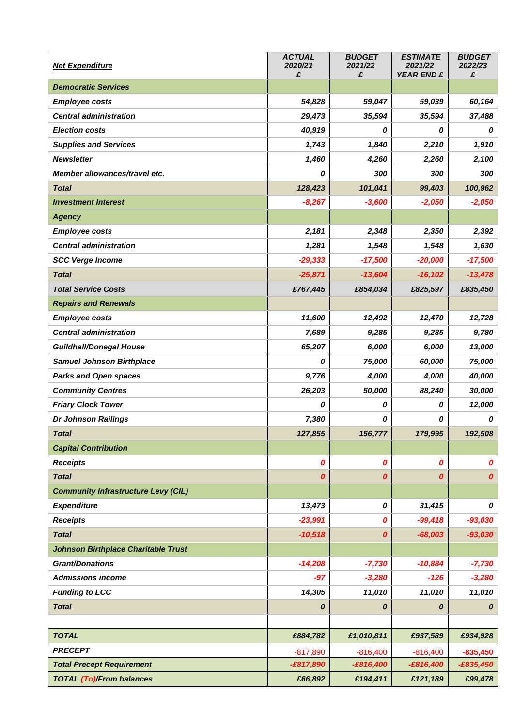| <b>Net Expenditure</b>                     | <b>ACTUAL</b><br>2020/21 | <b>BUDGET</b><br>2021/22 | <b>ESTIMATE</b><br>2021/22 | <b>BUDGET</b><br>2022/23 |
|--------------------------------------------|--------------------------|--------------------------|----------------------------|--------------------------|
| <b>Democratic Services</b>                 | £                        | £                        | <b>YEAR END £</b>          | £                        |
| <b>Employee costs</b>                      | 54,828                   | 59,047                   | 59,039                     | 60,164                   |
| <b>Central administration</b>              | 29,473                   | 35,594                   | 35,594                     | 37,488                   |
| <b>Election costs</b>                      | 40,919                   | 0                        | 0                          | 0                        |
| <b>Supplies and Services</b>               | 1,743                    | 1,840                    | 2,210                      | 1,910                    |
| <b>Newsletter</b>                          | 1,460                    | 4,260                    | 2,260                      | 2,100                    |
| Member allowances/travel etc.              | 0                        | 300                      | 300                        | 300                      |
| <b>Total</b>                               | 128,423                  | 101,041                  | 99,403                     | 100,962                  |
| <b>Investment Interest</b>                 | $-8,267$                 | $-3,600$                 | $-2,050$                   | $-2,050$                 |
| <b>Agency</b>                              |                          |                          |                            |                          |
| <b>Employee costs</b>                      | 2,181                    | 2,348                    | 2,350                      | 2,392                    |
| <b>Central administration</b>              | 1,281                    | 1,548                    | 1,548                      | 1,630                    |
| <b>SCC Verge Income</b>                    | $-29,333$                | $-17,500$                | $-20,000$                  | $-17,500$                |
| <b>Total</b>                               | $-25,871$                | $-13,604$                | $-16, 102$                 | $-13,478$                |
| <b>Total Service Costs</b>                 | £767,445                 | £854,034                 | £825,597                   | £835,450                 |
| <b>Repairs and Renewals</b>                |                          |                          |                            |                          |
| <b>Employee costs</b>                      | 11,600                   | 12,492                   | 12,470                     | 12,728                   |
| <b>Central administration</b>              | 7,689                    | 9,285                    | 9,285                      | 9,780                    |
| <b>Guildhall/Donegal House</b>             | 65,207                   | 6,000                    | 6,000                      | 13,000                   |
| <b>Samuel Johnson Birthplace</b>           | 0                        | 75,000                   | 60,000                     | 75,000                   |
| <b>Parks and Open spaces</b>               | 9,776                    | 4,000                    | 4,000                      | 40,000                   |
| <b>Community Centres</b>                   | 26,203                   | 50,000                   | 88,240                     | 30,000                   |
| <b>Friary Clock Tower</b>                  | 0                        | 0                        | 0                          | 12,000                   |
| Dr Johnson Railings                        | 7,380                    | 0                        | 0                          | 0                        |
| <b>Total</b>                               | 127,855                  | 156,777                  | 179,995                    | 192,508                  |
| <b>Capital Contribution</b>                |                          |                          |                            |                          |
| <b>Receipts</b>                            | 0                        | 0                        | 0                          | $\boldsymbol{o}$         |
| <b>Total</b>                               | 0                        | 0                        | 0                          | $\boldsymbol{o}$         |
| <b>Community Infrastructure Levy (CIL)</b> |                          |                          |                            |                          |
| <b>Expenditure</b>                         | 13,473                   | 0                        | 31,415                     | 0                        |
| <b>Receipts</b>                            | $-23,991$                | 0                        | $-99,418$                  | $-93,030$                |
| <b>Total</b>                               | $-10,518$                | 0                        | $-68,003$                  | $-93,030$                |
| <b>Johnson Birthplace Charitable Trust</b> |                          |                          |                            |                          |
| <b>Grant/Donations</b>                     | $-14,208$                | $-7,730$                 | $-10,884$                  | $-7,730$                 |
| <b>Admissions income</b>                   | $-97$                    | $-3,280$                 | $-126$                     | $-3,280$                 |
| <b>Funding to LCC</b>                      | 14,305                   | 11,010                   | 11,010                     | 11,010                   |
| <b>Total</b>                               | 0                        | 0                        | 0                          | 0                        |
|                                            |                          |                          |                            |                          |
| <b>TOTAL</b>                               | £884,782                 | £1,010,811               | £937,589                   | £934,928                 |
| <b>PRECEPT</b>                             | $-817,890$               | $-816,400$               | $-816,400$                 | $-835,450$               |
| <b>Total Precept Requirement</b>           | $-£817,890$              | $-£816,400$              | $-£816,400$                | $-£835,450$              |
| <b>TOTAL (To)/From balances</b>            | £66,892                  | £194,411                 | £121,189                   | £99,478                  |